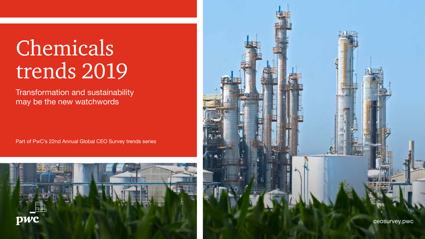# Chemicals trends 2019

Transformation and sustainability may be the new watchwords

Part of PwC's 22nd Annual Global CEO Survey trends series



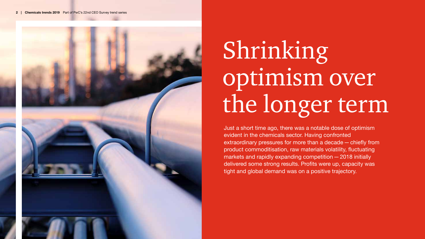

# Shrinking optimism over the longer term

Just a short time ago, there was a notable dose of optimism evident in the chemicals sector. Having confronted extraordinary pressures for more than a decade—chiefly from product commoditisation, raw materials volatility, fluctuating markets and rapidly expanding competition—2018 initially delivered some strong results. Profits were up, capacity was tight and global demand was on a positive trajectory.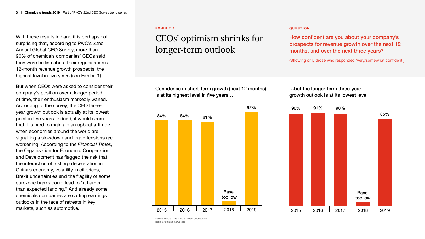With these results in hand it is perhaps not surprising that, according to PwC's 22nd Annual Global CEO Survey, more than 90% of chemicals companies' CEOs said they were bullish about their organisation's 12-month revenue growth prospects, the highest level in five years (see Exhibit 1).

But when CEOs were asked to consider their company's position over a longer period of time, their enthusiasm markedly waned. According to the survey, the CEO threeyear growth outlook is actually at its lowest point in five years. Indeed, it would seem that it is hard to maintain an upbeat attitude when economies around the world are signalling a slowdown and trade tensions are worsening. According to the *Financial Times,* the Organisation for Economic Cooperation and Development has flagged the risk that the interaction of a sharp deceleration in China's economy, volatility in oil prices, Brexit uncertainties and the fragility of some eurozone banks could lead to "a harder than expected landing." And already some chemicals companies are cutting earnings outlooks in the face of retreats in key markets, such as automotive.

#### **EXHIBIT 1**

## CEOs' optimism shrinks for longer-term outlook

Confidence in short-term growth (next 12 months) is at its highest level in five years…



#### **QUESTION**

How confident are you about your company's prospects for revenue growth over the next 12 months, and over the next three years?

(Showing only those who responded 'very/somewhat confident')

…but the longer-term three-year growth outlook is at its lowest level



Source: PwC's 22nd Annual Global CEO Survey Base: Chemicals CEOs (48)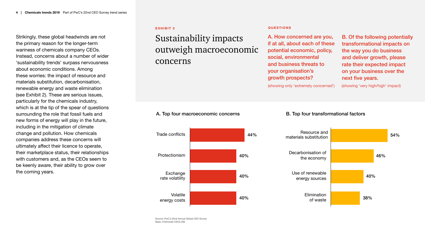Strikingly, these global headwinds are not the primary reason for the longer-term wariness of chemicals company CEOs. Instead, concerns about a number of wider 'sustainability trends' surpass nervousness about economic conditions. Among these worries: the impact of resource and materials substitution, decarbonisation, renewable energy and waste elimination (see Exhibit 2). These are serious issues, particularly for the chemicals industry, which is at the tip of the spear of questions surrounding the role that fossil fuels and new forms of energy will play in the future, including in the mitigation of climate change and pollution. How chemicals companies address these concerns will ultimately affect their licence to operate, their marketplace status, their relationships with customers and, as the CEOs seem to be keenly aware, their ability to grow over the coming years.

#### **EXHIBIT 2 QUESTIONS**

Trade conflicts

Protectionism

**Exchange** rate volatility

Volatile energy costs

## Sustainability impacts outweigh macroeconomic concerns

44%

40%

40%

40%

A. How concerned are you, if at all, about each of these potential economic, policy, social, environmental and business threats to your organisation's growth prospects?

(showing only 'extremely concerned') (showing 'very high/high' impact)

B. Of the following potentially transformational impacts on the way you do business and deliver growth, please rate their expected impact on your business over the next five years.

#### A. Top four macroeconomic concerns B. Top four transformational factors



Source: PwC's 22nd Annual Global CEO Survey Base: Chemicals CEOs (48)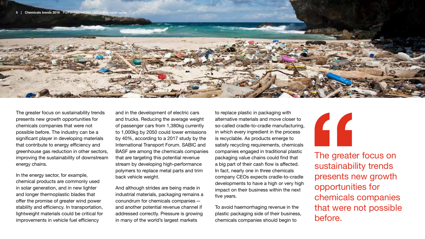

The greater focus on sustainability trends presents new growth opportunities for chemicals companies that were not possible before. The industry can be a significant player in developing materials that contribute to energy efficiency and greenhouse gas reduction in other sectors, improving the sustainability of downstream energy chains.

In the energy sector, for example, chemical products are commonly used in solar generation, and in new lighter and longer thermoplastic blades that offer the promise of greater wind power stability and efficiency. In transportation, lightweight materials could be critical for improvements in vehicle fuel efficiency

and in the development of electric cars and trucks. Reducing the average weight of passenger cars from 1,380kg currently to 1,000kg by 2050 could lower emissions by 40%, according to a 2017 study by the International Transport Forum. SABIC and BASF are among the chemicals companies that are targeting this potential revenue stream by developing high-performance polymers to replace metal parts and trim back vehicle weight.

And although strides are being made in industrial materials, packaging remains a conundrum for chemicals companies and another potential revenue channel if addressed correctly. Pressure is growing in many of the world's largest markets

to replace plastic in packaging with alternative materials and move closer to so-called cradle-to-cradle manufacturing, in which every ingredient in the process is recyclable. As products emerge to satisfy recycling requirements, chemicals companies engaged in traditional plastic packaging value chains could find that a big part of their cash flow is affected. In fact, nearly one in three chemicals company CEOs expects cradle-to-cradle developments to have a high or very high impact on their business within the next five years.

To avoid haemorrhaging revenue in the plastic packaging side of their business, chemicals companies should begin to



The greater focus on sustainability trends presents new growth opportunities for chemicals companies that were not possible before.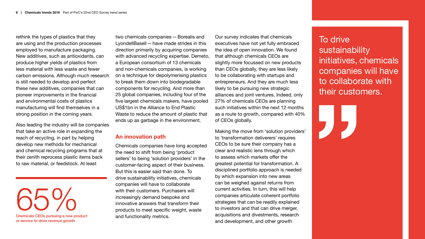rethink the types of plastics that they are using and the production processes employed to manufacture packaging. New additives, such as antioxidants, can produce higher yields of plastics from less material with less waste and fewer carbon emissions. Although much research is still needed to develop and perfect these new additives, companies that can pioneer improvements in the financial and environmental costs of plastics manufacturing will find themselves in a strong position in the coming years.

Also leading the industry will be companies that take an active role in expanding the reach of recycling, in part by helping develop new methods for mechanical and chemical recycling programs that at their zenith reprocess plastic items back to raw material, or feedstock. At least

65% D/0 Chemicals CEOs pursuing a new product or service to drive revenue growth

two chemicals companies—Borealis and LyondellBasell—have made strides in this direction primarily by acquiring companies with advanced recycling expertise. Demeto, a European consortium of 13 chemicals and non-chemicals companies, is working on a technique for depolymerising plastics to break them down into biodegradable components for recycling. And more than 25 global companies, including four of the five largest chemicals makers, have pooled US\$1bn in the Alliance to End Plastic Waste to reduce the amount of plastic that ends up as garbage in the environment.

### **An innovation path**

Chemicals companies have long accepted the need to shift from being 'product sellers' to being 'solution providers' in the customer-facing aspect of their business. But this is easier said than done. To drive sustainability initiatives, chemicals companies will have to collaborate with their customers. Purchasers will increasingly demand bespoke and innovative answers that transform their products to meet specific weight, waste and functionality metrics.

Our survey indicates that chemicals executives have not yet fully embraced the idea of open innovation. We found that although chemicals CEOs are slightly more focussed on new products than CEOs globally, they are less likely to be collaborating with startups and entrepreneurs. And they are much less likely to be pursuing new strategic alliances and joint ventures. Indeed, only 27% of chemicals CEOs are planning such initiatives within the next 12 months as a route to growth, compared with 40% of CEOs globally.

Making the move from 'solution providers' to 'transformation deliverers' requires CEOs to be sure their company has a clear and realistic lens through which to assess which markets offer the greatest potential for transformation. A disciplined portfolio approach is needed by which expansion into new areas can be weighed against returns from current activities. In turn, this will help companies articulate coherent portfolio strategies that can be readily explained to investors and that can drive merger, acquisitions and divestments, research and development, and other growth

## To drive sustainability initiatives, chemicals companies will have to collaborate with their customers.

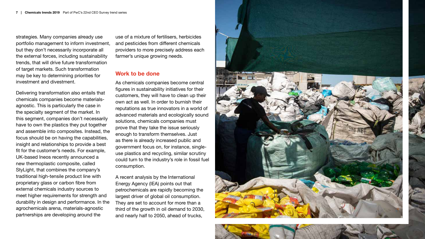strategies. Many companies already use portfolio management to inform investment, but they don't necessarily incorporate all the external forces, including sustainability trends, that will drive future transformation of target markets. Such transformation may be key to determining priorities for investment and divestment.

Delivering transformation also entails that chemicals companies become materialsagnostic. This is particularly the case in the specialty segment of the market. In this segment, companies don't necessarily have to own the plastics they put together and assemble into composites. Instead, the focus should be on having the capabilities, insight and relationships to provide a best fit for the customer's needs. For example, UK-based Ineos recently announced a new thermoplastic composite, called StyLight, that combines the company's traditional high-tensile product line with proprietary glass or carbon fibre from external chemicals industry sources to meet higher requirements for strength and durability in design and performance. In the agrochemicals arena, materials-agnostic partnerships are developing around the

use of a mixture of fertilisers, herbicides and pesticides from different chemicals providers to more precisely address each farmer's unique growing needs.

#### **Work to be done**

As chemicals companies become central figures in sustainability initiatives for their customers, they will have to clean up their own act as well. In order to burnish their reputations as true innovators in a world of advanced materials and ecologically sound solutions, chemicals companies must prove that they take the issue seriously enough to transform themselves. Just as there is already increased public and government focus on, for instance, singleuse plastics and recycling, similar scrutiny could turn to the industry's role in fossil fuel consumption.

A recent analysis by the International Energy Agency (IEA) points out that petrochemicals are rapidly becoming the largest driver of global oil consumption. They are set to account for more than a third of the growth in oil demand to 2030, and nearly half to 2050, ahead of trucks,



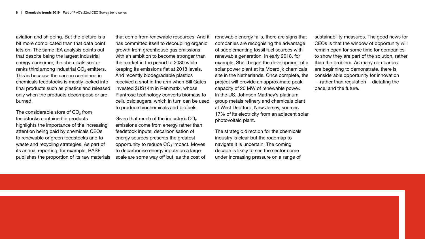aviation and shipping. But the picture is a bit more complicated than that data point lets on. The same IEA analysis points out that despite being the largest industrial energy consumer, the chemicals sector ranks third among industrial  $CO<sub>2</sub>$  emitters. This is because the carbon contained in chemicals feedstocks is mostly locked into final products such as plastics and released only when the products decompose or are burned.

The considerable store of  $CO<sub>2</sub>$  from feedstocks contained in products highlights the importance of the increasing attention being paid by chemicals CEOs to renewable or green feedstocks and to waste and recycling strategies. As part of its annual reporting, for example, BASF publishes the proportion of its raw materials

that come from renewable resources. And it has committed itself to decoupling organic growth from greenhouse gas emissions with an ambition to become stronger than the market in the period to 2030 while keeping its emissions flat at 2018 levels. And recently biodegradable plastics received a shot in the arm when Bill Gates invested \$US14m in Renmatix, whose Plantrose technology converts biomass to cellulosic sugars, which in turn can be used to produce biochemicals and biofuels.

Given that much of the industry's  $CO<sub>2</sub>$ emissions come from energy rather than feedstock inputs, decarbonisation of energy sources presents the greatest opportunity to reduce  $CO<sub>2</sub>$  impact. Moves to decarbonise energy inputs on a large scale are some way off but, as the cost of renewable energy falls, there are signs that companies are recognising the advantage of supplementing fossil fuel sources with renewable generation. In early 2018, for example, Shell began the development of a solar power plant at its Moerdijk chemicals site in the Netherlands. Once complete, the project will provide an approximate peak capacity of 20 MW of renewable power. In the US, Johnson Matthey's platinum group metals refinery and chemicals plant at West Deptford, New Jersey, sources 17% of its electricity from an adjacent solar photovoltaic plant.

The strategic direction for the chemicals industry is clear but the roadmap to navigate it is uncertain. The coming decade is likely to see the sector come under increasing pressure on a range of

sustainability measures. The good news for CEOs is that the window of opportunity will remain open for some time for companies to show they are part of the solution, rather than the problem. As many companies are beginning to demonstrate, there is considerable opportunity for innovation  $-$  rather than regulation  $-$  dictating the pace, and the future.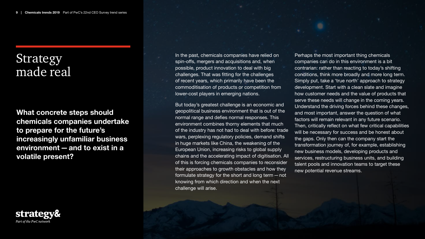## Strategy made real

**What concrete steps should chemicals companies undertake to prepare for the future's increasingly unfamiliar business environment—and to exist in a volatile present?** 



In the past, chemicals companies have relied on spin-offs, mergers and acquisitions and, when possible, product innovation to deal with big challenges. That was fitting for the challenges of recent years, which primarily have been the commoditisation of products or competition from lower-cost players in emerging nations.

But today's greatest challenge is an economic and geopolitical business environment that is out of the normal range and defies normal responses. This environment combines thorny elements that much of the industry has not had to deal with before: trade wars, perplexing regulatory policies, demand shifts in huge markets like China, the weakening of the European Union, increasing risks to global supply chains and the accelerating impact of digitisation. All of this is forcing chemicals companies to reconsider their approaches to growth obstacles and how they formulate strategy for the short and long term—not knowing from which direction and when the next challenge will arise.

Perhaps the most important thing chemicals companies can do in this environment is a bit contrarian: rather than reacting to today's shifting conditions, think more broadly and more long term. Simply put, take a 'true north' approach to strategy development. Start with a clean slate and imagine how customer needs and the value of products that serve these needs will change in the coming years. Understand the driving forces behind these changes, and most important, answer the question of what factors will remain relevant in any future scenario. Then, critically reflect on what few critical capabilities will be necessary for success and be honest about the gaps. Only then can the company start the transformation journey of, for example, establishing new business models, developing products and services, restructuring business units, and building talent pools and innovation teams to target these new potential revenue streams.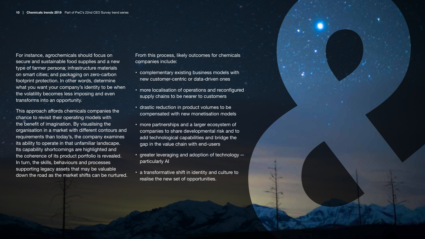For instance, agrochemicals should focus on secure and sustainable food supplies and a new type of farmer persona; infrastructure materials on smart cities; and packaging on zero-carbon footprint protection. In other words, determine what you want your company's identity to be when the volatility becomes less imposing and even transforms into an opportunity.

This approach affords chemicals companies the chance to revisit their operating models with the benefit of imagination. By visualising the organisation in a market with different contours and requirements than today's, the company examines its ability to operate in that unfamiliar landscape. Its capability shortcomings are highlighted and the coherence of its product portfolio is revealed. In turn, the skills, behaviours and processes supporting legacy assets that may be valuable down the road as the market shifts can be nurtured.

From this process, likely outcomes for chemicals companies include:

- complementary existing business models with new customer-centric or data-driven ones
- more localisation of operations and reconfigured supply chains to be nearer to customers
- drastic reduction in product volumes to be compensated with new monetisation models
- more partnerships and a larger ecosystem of companies to share developmental risk and to add technological capabilities and bridge the gap in the value chain with end-users
- greater leveraging and adoption of technology particularly AI
- a transformative shift in identity and culture to realise the new set of opportunities.

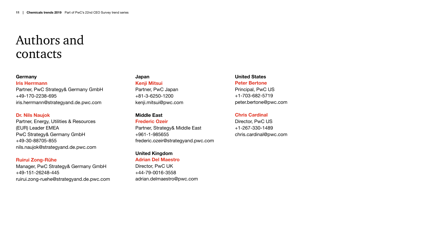## Authors and contacts

#### **Germany**

**Iris Herrmann** Partner, PwC Strategy& Germany GmbH +49-170-2238-695 iris.herrmann@strategyand.de.pwc.com

#### **Dr. Nils Naujok**

Partner, Energy, Utilities & Resources (EUR) Leader EMEA PwC Strategy& Germany GmbH +49-30-88705-855 nils.naujok@strategyand.de.pwc.com

#### **Ruirui Zong-Rühe**

Manager, PwC Strategy& Germany GmbH +49-151-26248-445 ruirui.zong-ruehe@strategyand.de.pwc.com

#### **Japan Kenji Mitsui**

Partner, PwC Japan +81-3-6250-1200 kenji.mitsui@pwc.com

#### **Middle East**

**Frederic Ozeir**

Partner, Strategy& Middle East +961-1-985655 frederic.ozeir@strategyand.pwc.com

### **United Kingdom**

**Adrian Del Maestro**

Director, PwC UK +44-79-0016-3558 adrian.delmaestro@pwc.com

**United States Peter Bertone** Principal, PwC US +1-703-682-5719 peter.bertone@pwc.com

#### **Chris Cardinal**

Director, PwC US +1-267-330-1489 chris.cardinal@pwc.com